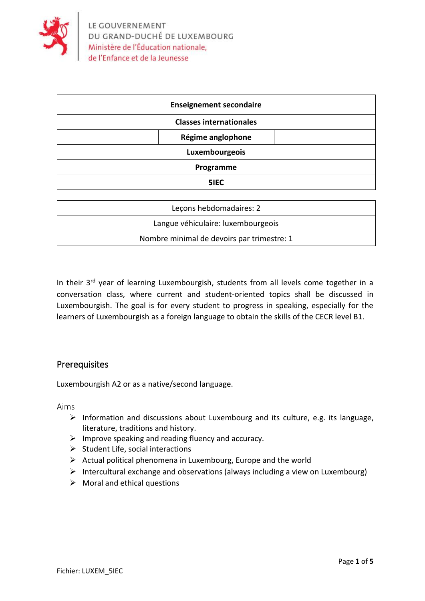

| <b>Enseignement secondaire</b> |
|--------------------------------|
| <b>Classes internationales</b> |
| Régime anglophone              |
| Luxembourgeois                 |
| Programme                      |
| 5IEC                           |
|                                |

| Lecons hebdomadaires: 2                    |
|--------------------------------------------|
| Langue véhiculaire: luxembourgeois         |
| Nombre minimal de devoirs par trimestre: 1 |

In their 3<sup>rd</sup> year of learning Luxembourgish, students from all levels come together in a conversation class, where current and student-oriented topics shall be discussed in Luxembourgish. The goal is for every student to progress in speaking, especially for the learners of Luxembourgish as a foreign language to obtain the skills of the CECR level B1.

## **Prerequisites**

Luxembourgish A2 or as a native/second language.

Aims

- ➢ Information and discussions about Luxembourg and its culture, e.g. its language, literature, traditions and history.
- $\triangleright$  Improve speaking and reading fluency and accuracy.
- $\triangleright$  Student Life, social interactions
- $\triangleright$  Actual political phenomena in Luxembourg, Europe and the world
- ➢ Intercultural exchange and observations (always including a view on Luxembourg)
- $\triangleright$  Moral and ethical questions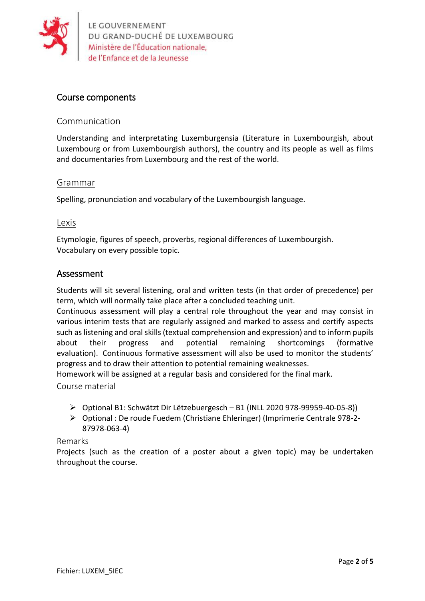

## Course components

### Communication

Understanding and interpretating Luxemburgensia (Literature in Luxembourgish, about Luxembourg or from Luxembourgish authors), the country and its people as well as films and documentaries from Luxembourg and the rest of the world.

#### Grammar

Spelling, pronunciation and vocabulary of the Luxembourgish language.

### Lexis

Etymologie, figures of speech, proverbs, regional differences of Luxembourgish. Vocabulary on every possible topic.

### Assessment

Students will sit several listening, oral and written tests (in that order of precedence) per term, which will normally take place after a concluded teaching unit.

Continuous assessment will play a central role throughout the year and may consist in various interim tests that are regularly assigned and marked to assess and certify aspects such as listening and oral skills (textual comprehension and expression) and to inform pupils about their progress and potential remaining shortcomings (formative evaluation). Continuous formative assessment will also be used to monitor the students' progress and to draw their attention to potential remaining weaknesses.

Homework will be assigned at a regular basis and considered for the final mark.

Course material

- ➢ Optional B1: Schwätzt Dir Lëtzebuergesch B1 (INLL 2020 978-99959-40-05-8))
- ➢ Optional : De roude Fuedem (Christiane Ehleringer) (Imprimerie Centrale 978-2- 87978-063-4)

#### Remarks

Projects (such as the creation of a poster about a given topic) may be undertaken throughout the course.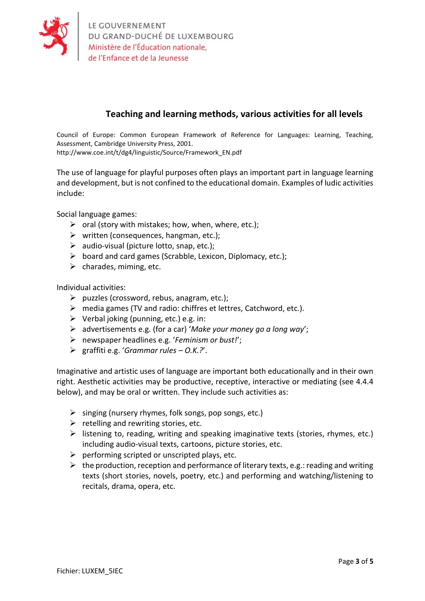

# **Teaching and learning methods, various activities for all levels**

Council of Europe: Common European Framework of Reference for Languages: Learning, Teaching, Assessment, Cambridge University Press, 2001. http://www.coe.int/t/dg4/linguistic/Source/Framework\_EN.pdf

The use of language for playful purposes often plays an important part in language learning and development, but is not confined to the educational domain. Examples of ludic activities include:

Social language games:

- $\triangleright$  oral (story with mistakes; how, when, where, etc.);
- $\triangleright$  written (consequences, hangman, etc.);
- $\triangleright$  audio-visual (picture lotto, snap, etc.);
- $\triangleright$  board and card games (Scrabble, Lexicon, Diplomacy, etc.);
- $\triangleright$  charades, miming, etc.

Individual activities:

- $\triangleright$  puzzles (crossword, rebus, anagram, etc.);
- ➢ media games (TV and radio: chiffres et lettres, Catchword, etc.).
- $\triangleright$  Verbal joking (punning, etc.) e.g. in:
- ➢ advertisements e.g. (for a car) '*Make your money go a long way*';
- ➢ newspaper headlines e.g. '*Feminism or bust!*';
- ➢ graffiti e.g. '*Grammar rules – O.K.?*'.

Imaginative and artistic uses of language are important both educationally and in their own right. Aesthetic activities may be productive, receptive, interactive or mediating (see 4.4.4 below), and may be oral or written. They include such activities as:

- $\triangleright$  singing (nursery rhymes, folk songs, pop songs, etc.)
- $\triangleright$  retelling and rewriting stories, etc.
- $\triangleright$  listening to, reading, writing and speaking imaginative texts (stories, rhymes, etc.) including audio-visual texts, cartoons, picture stories, etc.
- $\triangleright$  performing scripted or unscripted plays, etc.
- $\triangleright$  the production, reception and performance of literary texts, e.g.: reading and writing texts (short stories, novels, poetry, etc.) and performing and watching/listening to recitals, drama, opera, etc.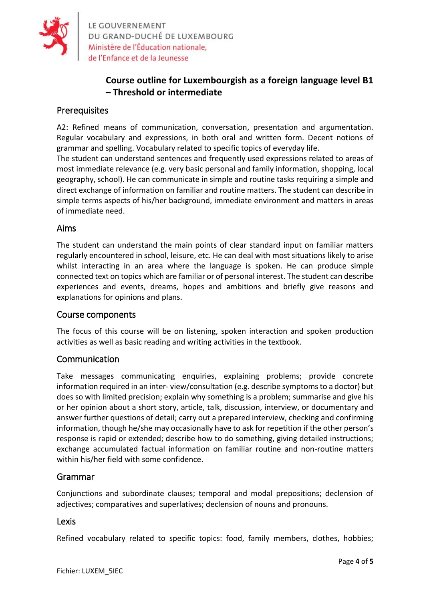

LE GOUVERNEMENT<br>DU GRAND-DUCHÉ DE LUXEMBOURG<br>Ministère de l'Éducation nationale, de l'Enfance et de la Jeunesse

# **Course outline for Luxembourgish as a foreign language level B1 – Threshold or intermediate**

## **Prerequisites**

A2: Refined means of communication, conversation, presentation and argumentation. Regular vocabulary and expressions, in both oral and written form. Decent notions of grammar and spelling. Vocabulary related to specific topics of everyday life.

The student can understand sentences and frequently used expressions related to areas of most immediate relevance (e.g. very basic personal and family information, shopping, local geography, school). He can communicate in simple and routine tasks requiring a simple and direct exchange of information on familiar and routine matters. The student can describe in simple terms aspects of his/her background, immediate environment and matters in areas of immediate need.

### Aims

The student can understand the main points of clear standard input on familiar matters regularly encountered in school, leisure, etc. He can deal with most situations likely to arise whilst interacting in an area where the language is spoken. He can produce simple connected text on topics which are familiar or of personal interest. The student can describe experiences and events, dreams, hopes and ambitions and briefly give reasons and explanations for opinions and plans.

#### Course components

The focus of this course will be on listening, spoken interaction and spoken production activities as well as basic reading and writing activities in the textbook.

### **Communication**

Take messages communicating enquiries, explaining problems; provide concrete information required in an inter- view/consultation (e.g. describe symptoms to a doctor) but does so with limited precision; explain why something is a problem; summarise and give his or her opinion about a short story, article, talk, discussion, interview, or documentary and answer further questions of detail; carry out a prepared interview, checking and confirming information, though he/she may occasionally have to ask for repetition if the other person's response is rapid or extended; describe how to do something, giving detailed instructions; exchange accumulated factual information on familiar routine and non-routine matters within his/her field with some confidence.

#### Grammar

Conjunctions and subordinate clauses; temporal and modal prepositions; declension of adjectives; comparatives and superlatives; declension of nouns and pronouns.

#### **Lexis**

Refined vocabulary related to specific topics: food, family members, clothes, hobbies;